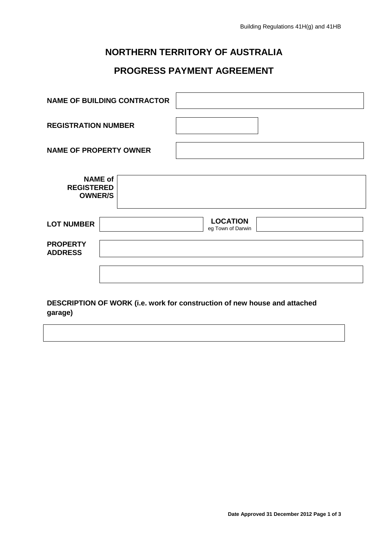## **NORTHERN TERRITORY OF AUSTRALIA**

# **PROGRESS PAYMENT AGREEMENT**

| <b>NAME OF BUILDING CONTRACTOR</b>                                        |  |  |                                      |  |  |
|---------------------------------------------------------------------------|--|--|--------------------------------------|--|--|
| <b>REGISTRATION NUMBER</b>                                                |  |  |                                      |  |  |
| <b>NAME OF PROPERTY OWNER</b>                                             |  |  |                                      |  |  |
| <b>NAME of</b><br><b>REGISTERED</b><br><b>OWNER/S</b>                     |  |  |                                      |  |  |
| <b>LOT NUMBER</b>                                                         |  |  | <b>LOCATION</b><br>eg Town of Darwin |  |  |
| <b>PROPERTY</b><br><b>ADDRESS</b>                                         |  |  |                                      |  |  |
| DESCRIPTION OF WORK (i.e. work for construction of new house and attached |  |  |                                      |  |  |

### **garage)**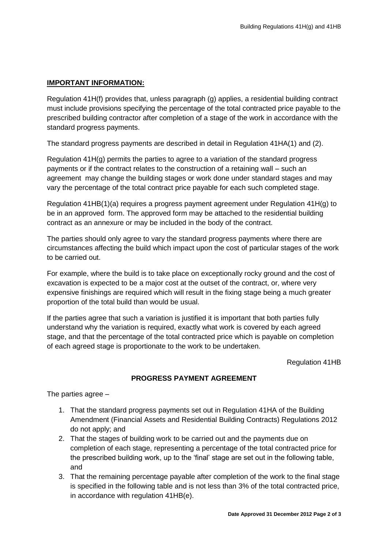#### **IMPORTANT INFORMATION:**

Regulation 41H(f) provides that, unless paragraph (g) applies, a residential building contract must include provisions specifying the percentage of the total contracted price payable to the prescribed building contractor after completion of a stage of the work in accordance with the standard progress payments.

The standard progress payments are described in detail in Regulation 41HA(1) and (2).

Regulation 41H(g) permits the parties to agree to a variation of the standard progress payments or if the contract relates to the construction of a retaining wall – such an agreement may change the building stages or work done under standard stages and may vary the percentage of the total contract price payable for each such completed stage.

Regulation 41HB(1)(a) requires a progress payment agreement under Regulation 41H(g) to be in an approved form. The approved form may be attached to the residential building contract as an annexure or may be included in the body of the contract.

The parties should only agree to vary the standard progress payments where there are circumstances affecting the build which impact upon the cost of particular stages of the work to be carried out.

For example, where the build is to take place on exceptionally rocky ground and the cost of excavation is expected to be a major cost at the outset of the contract, or, where very expensive finishings are required which will result in the fixing stage being a much greater proportion of the total build than would be usual.

If the parties agree that such a variation is justified it is important that both parties fully understand why the variation is required, exactly what work is covered by each agreed stage, and that the percentage of the total contracted price which is payable on completion of each agreed stage is proportionate to the work to be undertaken.

Regulation 41HB

#### **PROGRESS PAYMENT AGREEMENT**

The parties agree –

- 1. That the standard progress payments set out in Regulation 41HA of the Building Amendment (Financial Assets and Residential Building Contracts) Regulations 2012 do not apply; and
- 2. That the stages of building work to be carried out and the payments due on completion of each stage, representing a percentage of the total contracted price for the prescribed building work, up to the 'final' stage are set out in the following table, and
- 3. That the remaining percentage payable after completion of the work to the final stage is specified in the following table and is not less than 3% of the total contracted price, in accordance with regulation 41HB(e).